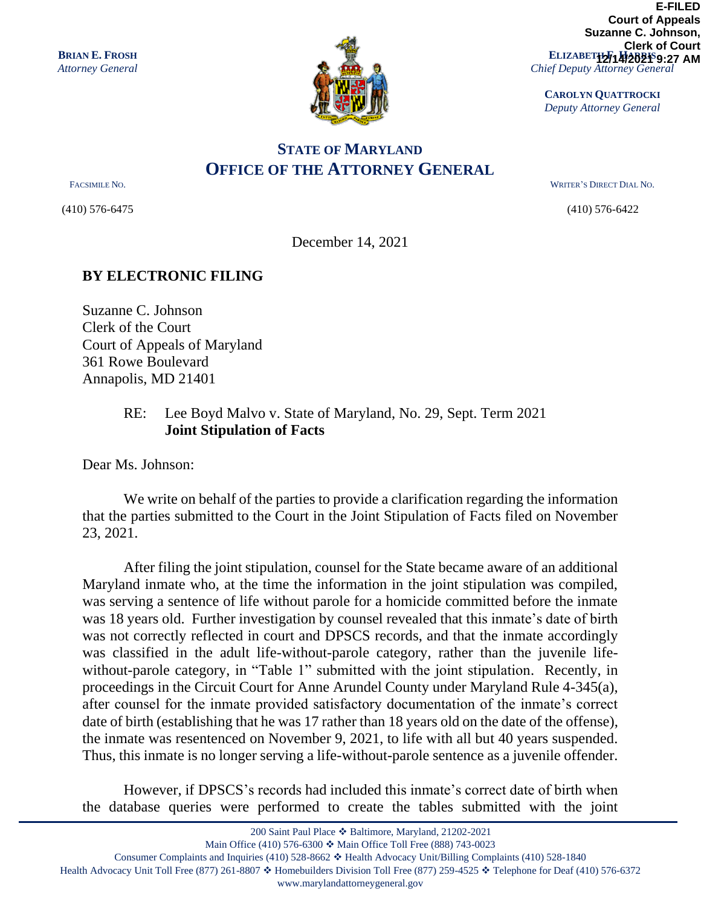

**ELIZABETH2714/2021 9:27 AM** *Chief Deputy Attorney General* **E-FILED Court of Appeals Suzanne C. Johnson, Clerk of Court**

**CAROLYN QUATTROCKI** *Deputy Attorney General*

## **STATE OF MARYLAND OFFICE OF THE ATTORNEY GENERAL**

(410) 576-6475 (410) 576-6422

FACSIMILE NO. WRITER'S DIRECT DIAL NO.

December 14, 2021

## **BY ELECTRONIC FILING**

Suzanne C. Johnson Clerk of the Court Court of Appeals of Maryland 361 Rowe Boulevard Annapolis, MD 21401

## RE: Lee Boyd Malvo v. State of Maryland, No. 29, Sept. Term 2021 **Joint Stipulation of Facts**

Dear Ms. Johnson:

We write on behalf of the parties to provide a clarification regarding the information that the parties submitted to the Court in the Joint Stipulation of Facts filed on November 23, 2021.

After filing the joint stipulation, counsel for the State became aware of an additional Maryland inmate who, at the time the information in the joint stipulation was compiled, was serving a sentence of life without parole for a homicide committed before the inmate was 18 years old. Further investigation by counsel revealed that this inmate's date of birth was not correctly reflected in court and DPSCS records, and that the inmate accordingly was classified in the adult life-without-parole category, rather than the juvenile lifewithout-parole category, in "Table 1" submitted with the joint stipulation. Recently, in proceedings in the Circuit Court for Anne Arundel County under Maryland Rule 4-345(a), after counsel for the inmate provided satisfactory documentation of the inmate's correct date of birth (establishing that he was 17 rather than 18 years old on the date of the offense), the inmate was resentenced on November 9, 2021, to life with all but 40 years suspended. Thus, this inmate is no longer serving a life-without-parole sentence as a juvenile offender.

However, if DPSCS's records had included this inmate's correct date of birth when the database queries were performed to create the tables submitted with the joint